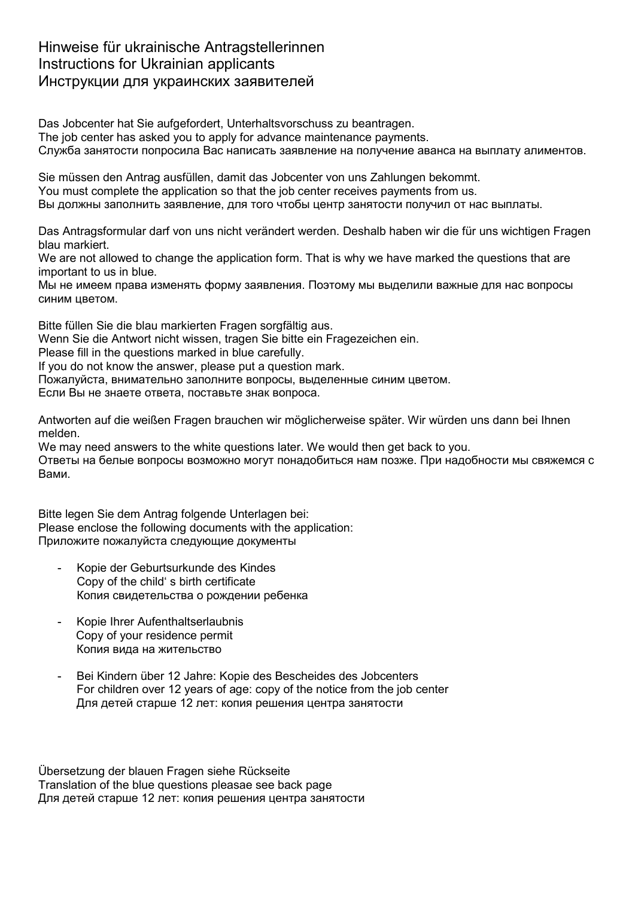## Hinweise für ukrainische Antragstellerinnen Instructions for Ukrainian applicants Инструкции для украинских заявителей

Das Jobcenter hat Sie aufgefordert, Unterhaltsvorschuss zu beantragen. The job center has asked you to apply for advance maintenance payments. Служба занятости попросила Bас написать заявление на получение аванса на выплату алиментов.

Sie müssen den Antrag ausfüllen, damit das Jobcenter von uns Zahlungen bekommt. You must complete the application so that the job center receives payments from us. Вы должны заполнить заявление, для того чтобы центр занятости получил от нас выплаты.

Das Antragsformular darf von uns nicht verändert werden. Deshalb haben wir die für uns wichtigen Fragen blau markiert.

We are not allowed to change the application form. That is why we have marked the questions that are important to us in blue.

Мы не имеем права изменять форму заявления. Поэтому мы выделили важные для нас вопросы синим цветом.

Bitte füllen Sie die blau markierten Fragen sorgfältig aus.

Wenn Sie die Antwort nicht wissen, tragen Sie bitte ein Fragezeichen ein.

Please fill in the questions marked in blue carefully.

If you do not know the answer, please put a question mark.

Пожалуйста, внимательно заполните вопросы, выделенные синим цветом.

Если Bы не знаете ответа, поставьте знак вопроса.

Antworten auf die weißen Fragen brauchen wir möglicherweise später. Wir würden uns dann bei Ihnen melden.

We may need answers to the white questions later. We would then get back to you.

Ответы на белые вопросы возможно могут понадобиться нам позже. При надобности мы свяжемся с Вами.

Bitte legen Sie dem Antrag folgende Unterlagen bei: Please enclose the following documents with the application: Приложите пожалуйста следующие документы

- Kopie der Geburtsurkunde des Kindes Copy of the child' s birth certificate Копия свидетельства о рождении ребенка
- Kopie Ihrer Aufenthaltserlaubnis Copy of your residence permit Копия вида на жительство
- Bei Kindern über 12 Jahre: Kopie des Bescheides des Jobcenters For children over 12 years of age: copy of the notice from the job center Для детей старше 12 лет: копия решения центра занятости

Übersetzung der blauen Fragen siehe Rückseite Translation of the blue questions pleasae see back page Для детей старше 12 лет: копия решения центра занятости